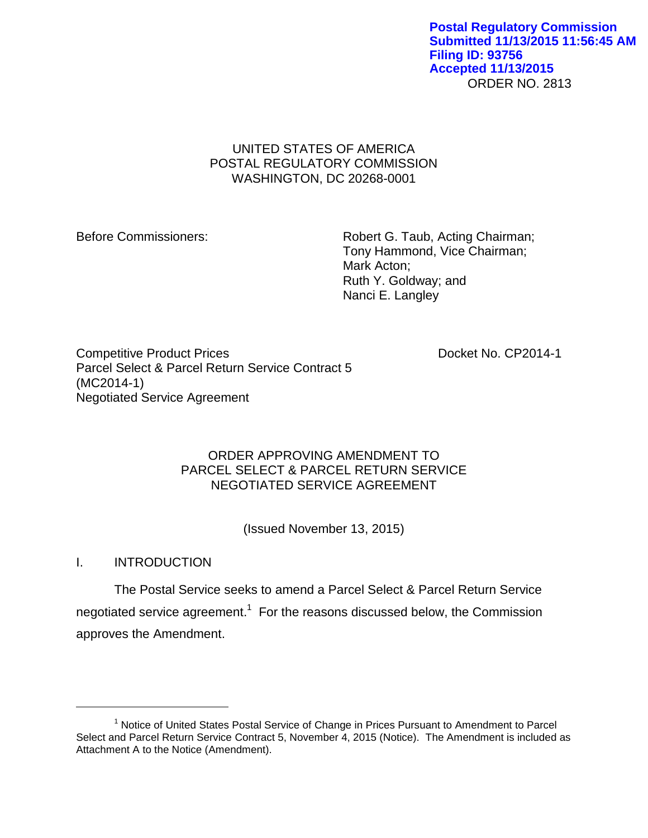ORDER NO. 2813 **Postal Regulatory Commission Submitted 11/13/2015 11:56:45 AM Filing ID: 93756 Accepted 11/13/2015**

# UNITED STATES OF AMERICA POSTAL REGULATORY COMMISSION WASHINGTON, DC 20268-0001

Before Commissioners: Robert G. Taub, Acting Chairman; Tony Hammond, Vice Chairman; Mark Acton; Ruth Y. Goldway; and Nanci E. Langley

Competitive Product Prices **Docket No. CP2014-1** Parcel Select & Parcel Return Service Contract 5 (MC2014-1) Negotiated Service Agreement

# ORDER APPROVING AMENDMENT TO PARCEL SELECT & PARCEL RETURN SERVICE NEGOTIATED SERVICE AGREEMENT

(Issued November 13, 2015)

I. INTRODUCTION

 $\overline{a}$ 

The Postal Service seeks to amend a Parcel Select & Parcel Return Service negotiated service agreement.<sup>1</sup> For the reasons discussed below, the Commission approves the Amendment.

<sup>&</sup>lt;sup>1</sup> Notice of United States Postal Service of Change in Prices Pursuant to Amendment to Parcel Select and Parcel Return Service Contract 5, November 4, 2015 (Notice). The Amendment is included as Attachment A to the Notice (Amendment).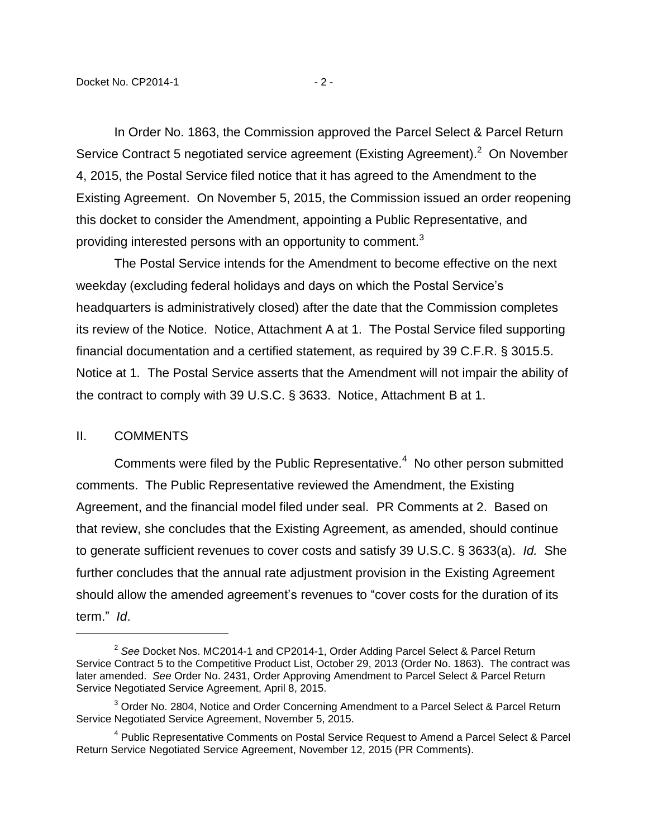In Order No. 1863, the Commission approved the Parcel Select & Parcel Return Service Contract 5 negotiated service agreement (Existing Agreement).<sup>2</sup> On November 4, 2015, the Postal Service filed notice that it has agreed to the Amendment to the Existing Agreement. On November 5, 2015, the Commission issued an order reopening this docket to consider the Amendment, appointing a Public Representative, and providing interested persons with an opportunity to comment.<sup>3</sup>

The Postal Service intends for the Amendment to become effective on the next weekday (excluding federal holidays and days on which the Postal Service's headquarters is administratively closed) after the date that the Commission completes its review of the Notice. Notice, Attachment A at 1. The Postal Service filed supporting financial documentation and a certified statement, as required by 39 C.F.R. § 3015.5. Notice at 1*.* The Postal Service asserts that the Amendment will not impair the ability of the contract to comply with 39 U.S.C. § 3633. Notice, Attachment B at 1.

### II. COMMENTS

 $\overline{a}$ 

Comments were filed by the Public Representative. $4$  No other person submitted comments. The Public Representative reviewed the Amendment, the Existing Agreement, and the financial model filed under seal. PR Comments at 2. Based on that review, she concludes that the Existing Agreement, as amended, should continue to generate sufficient revenues to cover costs and satisfy 39 U.S.C. § 3633(a). *Id.* She further concludes that the annual rate adjustment provision in the Existing Agreement should allow the amended agreement's revenues to "cover costs for the duration of its term." *Id*.

<sup>2</sup> *See* Docket Nos. MC2014-1 and CP2014-1, Order Adding Parcel Select & Parcel Return Service Contract 5 to the Competitive Product List, October 29, 2013 (Order No. 1863). The contract was later amended. *See* Order No. 2431, Order Approving Amendment to Parcel Select & Parcel Return Service Negotiated Service Agreement, April 8, 2015.

<sup>&</sup>lt;sup>3</sup> Order No. 2804, Notice and Order Concerning Amendment to a Parcel Select & Parcel Return Service Negotiated Service Agreement, November 5, 2015.

<sup>&</sup>lt;sup>4</sup> Public Representative Comments on Postal Service Request to Amend a Parcel Select & Parcel Return Service Negotiated Service Agreement, November 12, 2015 (PR Comments).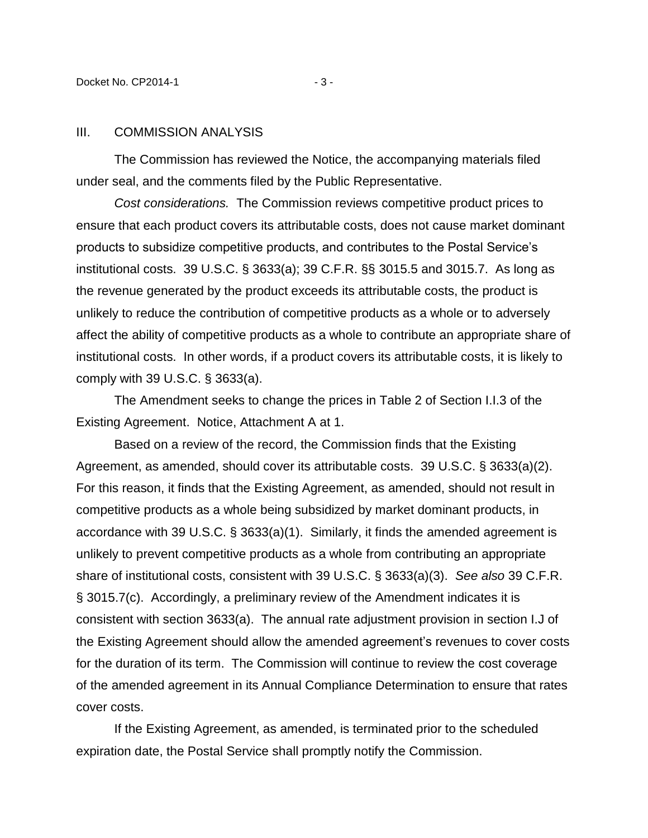#### III. COMMISSION ANALYSIS

The Commission has reviewed the Notice, the accompanying materials filed under seal, and the comments filed by the Public Representative.

*Cost considerations.* The Commission reviews competitive product prices to ensure that each product covers its attributable costs, does not cause market dominant products to subsidize competitive products, and contributes to the Postal Service's institutional costs. 39 U.S.C. § 3633(a); 39 C.F.R. §§ 3015.5 and 3015.7. As long as the revenue generated by the product exceeds its attributable costs, the product is unlikely to reduce the contribution of competitive products as a whole or to adversely affect the ability of competitive products as a whole to contribute an appropriate share of institutional costs. In other words, if a product covers its attributable costs, it is likely to comply with 39 U.S.C. § 3633(a).

The Amendment seeks to change the prices in Table 2 of Section I.I.3 of the Existing Agreement. Notice, Attachment A at 1.

Based on a review of the record, the Commission finds that the Existing Agreement, as amended, should cover its attributable costs. 39 U.S.C. § 3633(a)(2). For this reason, it finds that the Existing Agreement, as amended, should not result in competitive products as a whole being subsidized by market dominant products, in accordance with 39 U.S.C. § 3633(a)(1). Similarly, it finds the amended agreement is unlikely to prevent competitive products as a whole from contributing an appropriate share of institutional costs, consistent with 39 U.S.C. § 3633(a)(3). *See also* 39 C.F.R. § 3015.7(c). Accordingly, a preliminary review of the Amendment indicates it is consistent with section 3633(a). The annual rate adjustment provision in section I.J of the Existing Agreement should allow the amended agreement's revenues to cover costs for the duration of its term. The Commission will continue to review the cost coverage of the amended agreement in its Annual Compliance Determination to ensure that rates cover costs.

If the Existing Agreement, as amended, is terminated prior to the scheduled expiration date, the Postal Service shall promptly notify the Commission.